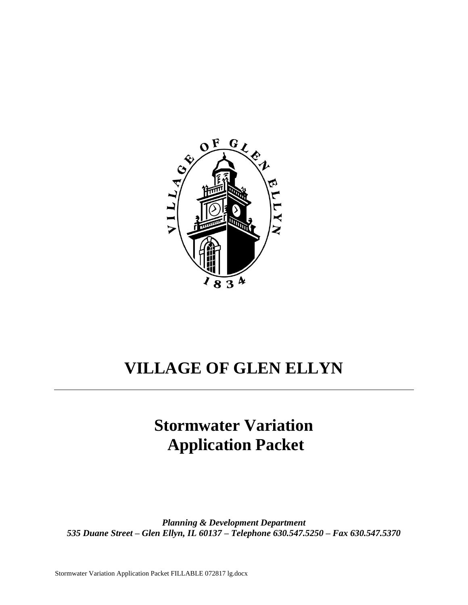

# **VILLAGE OF GLEN ELLYN**

# **Stormwater Variation Application Packet**

*Planning & Development Department 535 Duane Street – Glen Ellyn, IL 60137 – Telephone 630.547.5250 – Fax 630.547.5370*

Stormwater Variation Application Packet FILLABLE 072817 lg.docx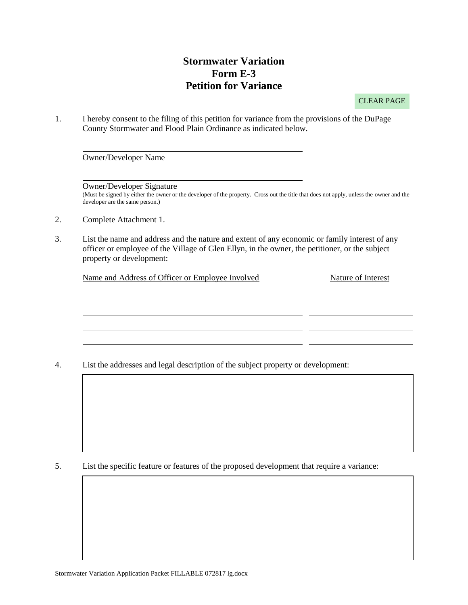### **Stormwater Variation Form E-3 Petition for Variance**

CLEAR PAGE

1. I hereby consent to the filing of this petition for variance from the provisions of the DuPage County Stormwater and Flood Plain Ordinance as indicated below.

Owner/Developer Name

Owner/Developer Signature

(Must be signed by either the owner or the developer of the property. Cross out the title that does not apply, unless the owner and the developer are the same person.)

- 2. Complete Attachment 1.
- 3. List the name and address and the nature and extent of any economic or family interest of any officer or employee of the Village of Glen Ellyn, in the owner, the petitioner, or the subject property or development:

Name and Address of Officer or Employee Involved Nature of Interest

4. List the addresses and legal description of the subject property or development:

5. List the specific feature or features of the proposed development that require a variance: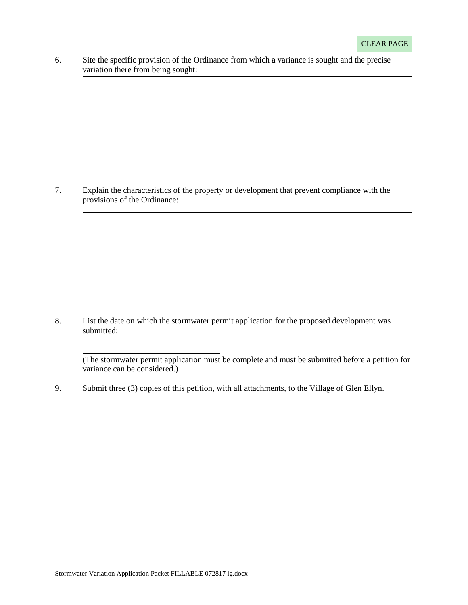6. Site the specific provision of the Ordinance from which a variance is sought and the precise variation there from being sought:

7. Explain the characteristics of the property or development that prevent compliance with the provisions of the Ordinance:

8. List the date on which the stormwater permit application for the proposed development was submitted:

(The stormwater permit application must be complete and must be submitted before a petition for variance can be considered.)

9. Submit three (3) copies of this petition, with all attachments, to the Village of Glen Ellyn.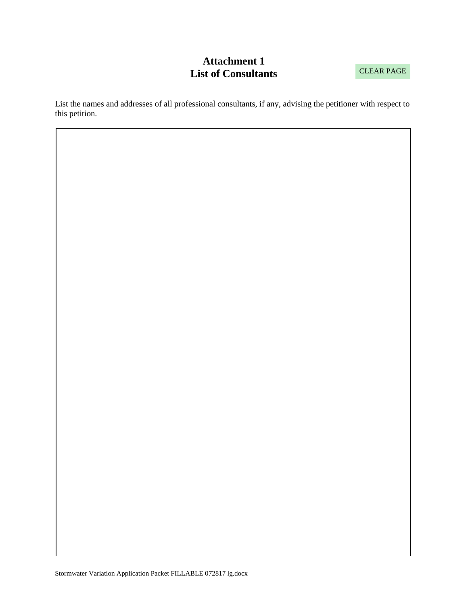## **Attachment 1 List of Consultants**

List the names and addresses of all professional consultants, if any, advising the petitioner with respect to this petition.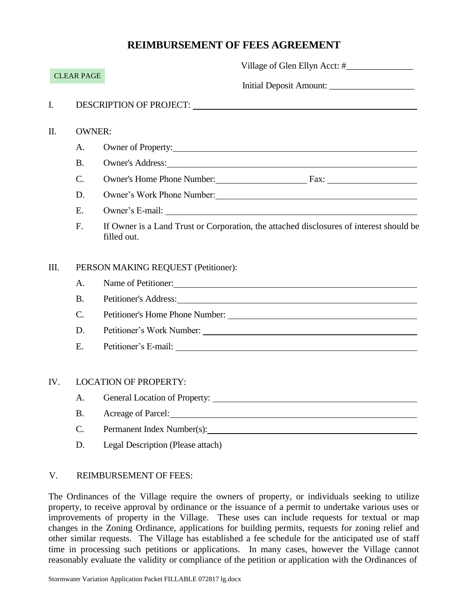### **REIMBURSEMENT OF FEES AGREEMENT**

| <b>CLEAR PAGE</b> |                                     |                                                                                                                                                                                                                                  |  |
|-------------------|-------------------------------------|----------------------------------------------------------------------------------------------------------------------------------------------------------------------------------------------------------------------------------|--|
|                   |                                     | Initial Deposit Amount:                                                                                                                                                                                                          |  |
| I.                |                                     |                                                                                                                                                                                                                                  |  |
| Π.                | <b>OWNER:</b>                       |                                                                                                                                                                                                                                  |  |
|                   | A.                                  | Owner of Property: <u>contained</u> and the contained and the contact of Property:                                                                                                                                               |  |
|                   | <b>B.</b>                           | Owner's Address:                                                                                                                                                                                                                 |  |
|                   | $C$ .                               | Owner's Home Phone Number: Fax: Fax:                                                                                                                                                                                             |  |
|                   | D.                                  | Owner's Work Phone Number:                                                                                                                                                                                                       |  |
|                   | E.                                  | Owner's E-mail:                                                                                                                                                                                                                  |  |
|                   | F.                                  | If Owner is a Land Trust or Corporation, the attached disclosures of interest should be<br>filled out.                                                                                                                           |  |
| III.              | PERSON MAKING REQUEST (Petitioner): |                                                                                                                                                                                                                                  |  |
|                   | A.                                  | Name of Petitioner:                                                                                                                                                                                                              |  |
|                   | <b>B.</b>                           | Petitioner's Address: No. 2014. The Second Second Second Second Second Second Second Second Second Second Second Second Second Second Second Second Second Second Second Second Second Second Second Second Second Second Seco   |  |
|                   | $\mathcal{C}$ .                     | Petitioner's Home Phone Number:<br>The Municipality of the Municipality of the Municipality of the Municipality of the Municipality of the Municipality of the Municipality of the Municipality of the Municipality of the Munic |  |
|                   | D.                                  |                                                                                                                                                                                                                                  |  |
|                   | E.                                  |                                                                                                                                                                                                                                  |  |
| IV.               | <b>LOCATION OF PROPERTY:</b>        |                                                                                                                                                                                                                                  |  |
|                   | A.                                  |                                                                                                                                                                                                                                  |  |
|                   | B.                                  | Acreage of Parcel:                                                                                                                                                                                                               |  |
|                   | C.                                  | Permanent Index Number(s):                                                                                                                                                                                                       |  |

D. Legal Description (Please attach)

#### V. REIMBURSEMENT OF FEES:

The Ordinances of the Village require the owners of property, or individuals seeking to utilize property, to receive approval by ordinance or the issuance of a permit to undertake various uses or improvements of property in the Village. These uses can include requests for textual or map changes in the Zoning Ordinance, applications for building permits, requests for zoning relief and other similar requests. The Village has established a fee schedule for the anticipated use of staff time in processing such petitions or applications. In many cases, however the Village cannot reasonably evaluate the validity or compliance of the petition or application with the Ordinances of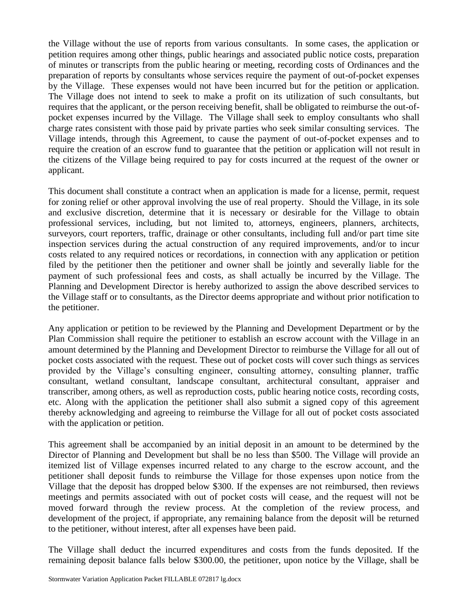the Village without the use of reports from various consultants. In some cases, the application or petition requires among other things, public hearings and associated public notice costs, preparation of minutes or transcripts from the public hearing or meeting, recording costs of Ordinances and the preparation of reports by consultants whose services require the payment of out-of-pocket expenses by the Village. These expenses would not have been incurred but for the petition or application. The Village does not intend to seek to make a profit on its utilization of such consultants, but requires that the applicant, or the person receiving benefit, shall be obligated to reimburse the out-ofpocket expenses incurred by the Village. The Village shall seek to employ consultants who shall charge rates consistent with those paid by private parties who seek similar consulting services. The Village intends, through this Agreement, to cause the payment of out-of-pocket expenses and to require the creation of an escrow fund to guarantee that the petition or application will not result in the citizens of the Village being required to pay for costs incurred at the request of the owner or applicant.

This document shall constitute a contract when an application is made for a license, permit, request for zoning relief or other approval involving the use of real property. Should the Village, in its sole and exclusive discretion, determine that it is necessary or desirable for the Village to obtain professional services, including, but not limited to, attorneys, engineers, planners, architects, surveyors, court reporters, traffic, drainage or other consultants, including full and/or part time site inspection services during the actual construction of any required improvements, and/or to incur costs related to any required notices or recordations, in connection with any application or petition filed by the petitioner then the petitioner and owner shall be jointly and severally liable for the payment of such professional fees and costs, as shall actually be incurred by the Village. The Planning and Development Director is hereby authorized to assign the above described services to the Village staff or to consultants, as the Director deems appropriate and without prior notification to the petitioner.

Any application or petition to be reviewed by the Planning and Development Department or by the Plan Commission shall require the petitioner to establish an escrow account with the Village in an amount determined by the Planning and Development Director to reimburse the Village for all out of pocket costs associated with the request. These out of pocket costs will cover such things as services provided by the Village's consulting engineer, consulting attorney, consulting planner, traffic consultant, wetland consultant, landscape consultant, architectural consultant, appraiser and transcriber, among others, as well as reproduction costs, public hearing notice costs, recording costs, etc. Along with the application the petitioner shall also submit a signed copy of this agreement thereby acknowledging and agreeing to reimburse the Village for all out of pocket costs associated with the application or petition.

This agreement shall be accompanied by an initial deposit in an amount to be determined by the Director of Planning and Development but shall be no less than \$500. The Village will provide an itemized list of Village expenses incurred related to any charge to the escrow account, and the petitioner shall deposit funds to reimburse the Village for those expenses upon notice from the Village that the deposit has dropped below \$300. If the expenses are not reimbursed, then reviews meetings and permits associated with out of pocket costs will cease, and the request will not be moved forward through the review process. At the completion of the review process, and development of the project, if appropriate, any remaining balance from the deposit will be returned to the petitioner, without interest, after all expenses have been paid.

The Village shall deduct the incurred expenditures and costs from the funds deposited. If the remaining deposit balance falls below \$300.00, the petitioner, upon notice by the Village, shall be